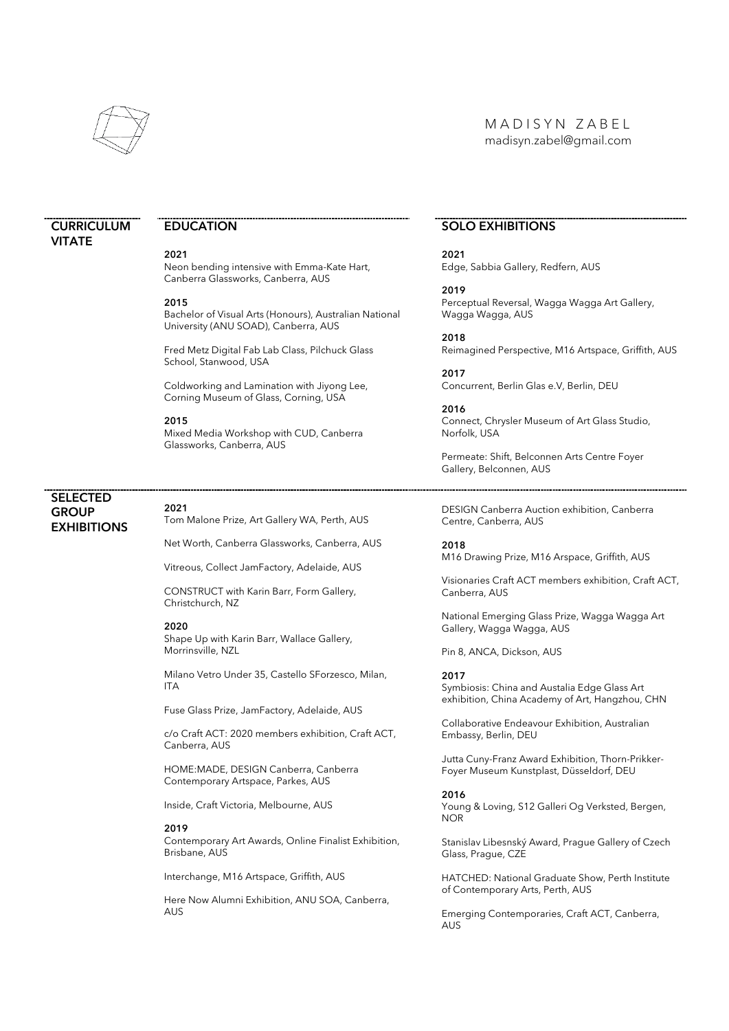

# M A D I S Y N Z A B E L madisyn.zabel@gmail.com

# **CURRICULUM VITATE**

# **EDUCATION**

#### 2021

Neon bending intensive with Emma-Kate Hart, Canberra Glassworks, Canberra, AUS

#### 2015

Bachelor of Visual Arts (Honours), Australian National University (ANU SOAD), Canberra, AUS

Fred Metz Digital Fab Lab Class, Pilchuck Glass School, Stanwood, USA

Coldworking and Lamination with Jiyong Lee, Corning Museum of Glass, Corning, USA

#### 2015

Mixed Media Workshop with CUD, Canberra Glassworks, Canberra, AUS

# SELECTED **GROUP EXHIBITIONS**

#### 2021

Tom Malone Prize, Art Gallery WA, Perth, AUS

Net Worth, Canberra Glassworks, Canberra, AUS

Vitreous, Collect JamFactory, Adelaide, AUS

CONSTRUCT with Karin Barr, Form Gallery, Christchurch, NZ

#### 2020

Shape Up with Karin Barr, Wallace Gallery, Morrinsville, NZL

Milano Vetro Under 35, Castello SForzesco, Milan, ITA

Fuse Glass Prize, JamFactory, Adelaide, AUS

c/o Craft ACT: 2020 members exhibition, Craft ACT, Canberra, AUS

HOME:MADE, DESIGN Canberra, Canberra Contemporary Artspace, Parkes, AUS

Inside, Craft Victoria, Melbourne, AUS

#### 2019

Contemporary Art Awards, Online Finalist Exhibition, Brisbane, AUS

Interchange, M16 Artspace, Griffith, AUS

Here Now Alumni Exhibition, ANU SOA, Canberra, **AUS** 

# SOLO EXHIBITIONS

2021 Edge, Sabbia Gallery, Redfern, AUS

2019 Perceptual Reversal, Wagga Wagga Art Gallery, Wagga Wagga, AUS

2018 Reimagined Perspective, M16 Artspace, Griffith, AUS

2017 Concurrent, Berlin Glas e.V, Berlin, DEU

2016 Connect, Chrysler Museum of Art Glass Studio, Norfolk, USA

Permeate: Shift, Belconnen Arts Centre Foyer Gallery, Belconnen, AUS

DESIGN Canberra Auction exhibition, Canberra Centre, Canberra, AUS

2018 M16 Drawing Prize, M16 Arspace, Griffith, AUS

Visionaries Craft ACT members exhibition, Craft ACT, Canberra, AUS

National Emerging Glass Prize, Wagga Wagga Art Gallery, Wagga Wagga, AUS

Pin 8, ANCA, Dickson, AUS

#### 2017

Symbiosis: China and Austalia Edge Glass Art exhibition, China Academy of Art, Hangzhou, CHN

Collaborative Endeavour Exhibition, Australian Embassy, Berlin, DEU

Jutta Cuny-Franz Award Exhibition, Thorn-Prikker-Foyer Museum Kunstplast, Düsseldorf, DEU

#### 2016

Young & Loving, S12 Galleri Og Verksted, Bergen, NOR

Stanislav Libesnský Award, Prague Gallery of Czech Glass, Prague, CZE

HATCHED: National Graduate Show, Perth Institute of Contemporary Arts, Perth, AUS

Emerging Contemporaries, Craft ACT, Canberra, AUS